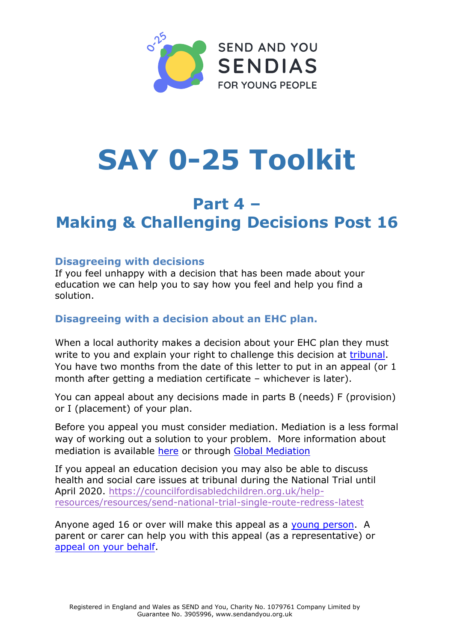

# **SAY 0-25 Toolkit**

## **Part 4 – Making & Challenging Decisions Post 16**

#### **Disagreeing with decisions**

If you feel unhappy with a decision that has been made about your education we can help you to say how you feel and help you find a solution.

#### **Disagreeing with a decision about an EHC plan.**

When a local authority makes a decision about your EHC plan they must write to you and explain your right to challenge this decision at tribunal. You have two months from the date of this letter to put in an appeal (or 1 month after getting a mediation certificate – whichever is later).

You can appeal about any decisions made in parts B (needs) F (provision) or I (placement) of your plan.

Before you appeal you must consider mediation. Mediation is a less formal way of working out a solution to your problem. More information about mediation is available [here](https://www.gov.uk/appeal-ehc-plan-decision/before-you-appeal) or through [Global Mediation](http://www.globalmediation.co.uk/)

If you appeal an education decision you may also be able to discuss health and social care issues at tribunal during the National Trial until April 2020. [https://councilfordisabledchildren.org.uk/help](https://councilfordisabledchildren.org.uk/help-resources/resources/send-national-trial-single-route-redress-latest)[resources/resources/send-national-trial-single-route-redress-latest](https://councilfordisabledchildren.org.uk/help-resources/resources/send-national-trial-single-route-redress-latest)

Anyone aged 16 or over will make this appeal as a [young person.](https://www.gov.uk/appeal-ehc-plan-decision/appeal-as-a-young-person) A parent or carer can help you with this appeal (as a representative) or [appeal on your behalf.](https://www.gov.uk/appeal-ehc-plan-decision/appeal-as-a-parent)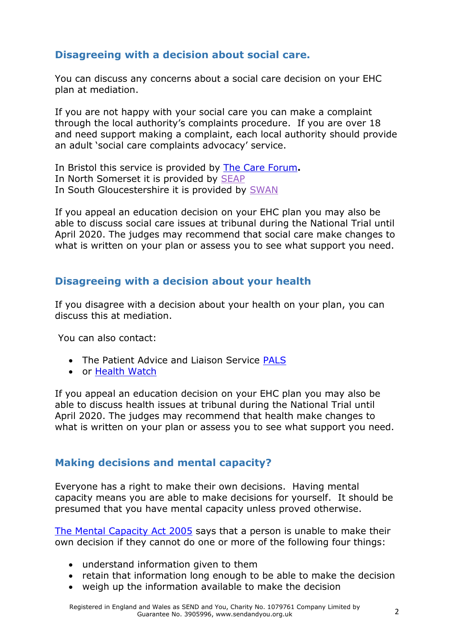### **Disagreeing with a decision about social care.**

You can discuss any concerns about a social care decision on your EHC plan at mediation.

If you are not happy with your social care you can make a complaint through the local authority's complaints procedure. If you are over 18 and need support making a complaint, each local authority should provide an adult 'social care complaints advocacy' service.

In Bristol this service is provided by [The Care Forum](https://www.thecareforum.org/advocacy/)**.**  In North Somerset it is provided by [SEAP](https://www.seap.org.uk/) In South Gloucestershire it is provided by [SWAN](https://swanadvocacy.org.uk/)

If you appeal an education decision on your EHC plan you may also be able to discuss social care issues at tribunal during the National Trial until April 2020. The judges may recommend that social care make changes to what is written on your plan or assess you to see what support you need.

#### **Disagreeing with a decision about your health**

If you disagree with a decision about your health on your plan, you can discuss this at mediation.

You can also contact:

- The Patient Advice and Liaison Service [PALS](https://www.nhs.uk/common-health-questions/nhs-services-and-treatments/what-is-pals-patient-advice-and-liaison-service/)
- or [Health Watch](http://www.healthwatch.co.uk/)

If you appeal an education decision on your EHC plan you may also be able to discuss health issues at tribunal during the National Trial until April 2020. The judges may recommend that health make changes to what is written on your plan or assess you to see what support you need.

#### **Making decisions and mental capacity?**

Everyone has a right to make their own decisions. Having mental capacity means you are able to make decisions for yourself. It should be presumed that you have mental capacity unless proved otherwise.

[The Mental Capacity Act 2005](http://www.legislation.gov.uk/ukpga/2005/9/contents) says that a person is unable to make their own decision if they cannot do one or more of the following four things:

- understand information given to them
- retain that information long enough to be able to make the decision
- weigh up the information available to make the decision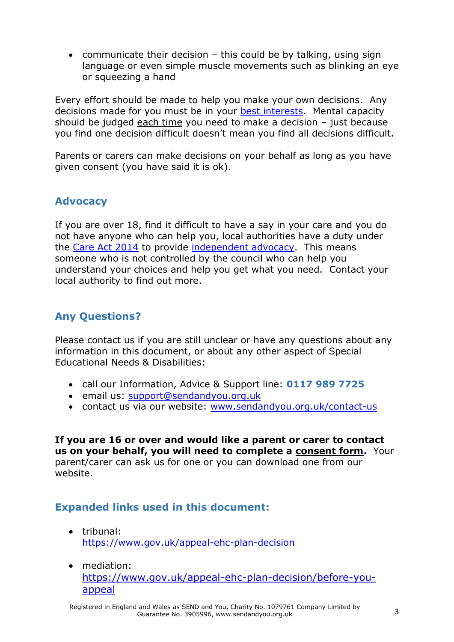• communicate their decision  $-$  this could be by talking, using sign language or even simple muscle movements such as blinking an eye or squeezing a hand

Every effort should be made to help you make your own decisions. Any decisions made for you must be in your [best interests.](http://www.scie.org.uk/mca/introduction/mental-capacity-act-2005-at-a-glance) Mental capacity should be judged each time you need to make a decision – just because you find one decision difficult doesn't mean you find all decisions difficult.

Parents or carers can make decisions on your behalf as long as you have given consent (you have said it is ok).

#### **Advocacy**

If you are over 18, find it difficult to have a say in your care and you do not have anyone who can help you, local authorities have a duty under the [Care Act 2014](http://www.legislation.gov.uk/ukpga/2014/23/part/1/crossheading/independent-advocacy-support/enacted) to provide [independent advocacy.](http://www.scie.org.uk/care-act-2014/advocacy-services/commissioning-independent-advocacy/easy-read/commissioning-independent-advocacy-easy-read.pdf) This means someone who is not controlled by the council who can help you understand your choices and help you get what you need. Contact your local authority to find out more.

#### **Any Questions?**

Please contact us if you are still unclear or have any questions about any information in this document, or about any other aspect of Special Educational Needs & Disabilities:

- call our Information, Advice & Support line: **0117 989 7725**
- [email us:](mailto:support@supportiveparents.org.uk) support@[sendandyou](mailto:support@supportiveparents.org.uk).org.uk
- contact us via our website: [www.sendandyou.org.uk/contact-us](http://www.supportiveparents.org.uk/contact)

**If you are 16 or over and would like a parent or carer to contact us on your behalf, you will need to complete a consent form.**Your parent/carer can ask us for one or you can download one from our website.

#### **Expanded links used in this document:**

- tribunal: <https://www.gov.uk/appeal-ehc-plan-decision>
- mediation: [https://www.gov.uk/appeal-ehc-plan-decision/before-you](https://www.gov.uk/appeal-ehc-plan-decision/before-you-appeal)[appeal](https://www.gov.uk/appeal-ehc-plan-decision/before-you-appeal)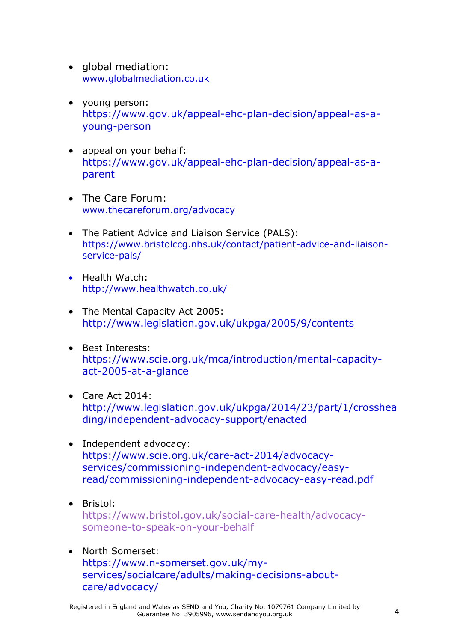- alobal mediation: [www.globalmediation.co.uk](http://www.globalmediation.co.uk/)
- young person: [https://www.gov.uk/appeal-ehc-plan-decision/appeal-as-a](https://www.gov.uk/appeal-ehc-plan-decision/appeal-as-a-young-person)[young-person](https://www.gov.uk/appeal-ehc-plan-decision/appeal-as-a-young-person)
- appeal on your behalf: [https://www.gov.uk/appeal-ehc-plan-decision/appeal-as-a](https://www.gov.uk/appeal-ehc-plan-decision/appeal-as-a-parent)[parent](https://www.gov.uk/appeal-ehc-plan-decision/appeal-as-a-parent)
- The Care Forum: [www.thecareforum.org/advocacy](http://www.thecareforum.org/advocacy)
- The Patient Advice and Liaison Service (PALS): [https://www.bristolccg.nhs.uk/contact/patient-advice-and-liaison](https://www.bristolccg.nhs.uk/contact/patient-advice-and-liaison-service-pals/)[service-pals/](https://www.bristolccg.nhs.uk/contact/patient-advice-and-liaison-service-pals/)
- Health Watch: <http://www.healthwatch.co.uk/>
- The Mental Capacity Act 2005: <http://www.legislation.gov.uk/ukpga/2005/9/contents>
- Best Interests: [https://www.scie.org.uk/mca/introduction/mental-capacity](https://www.scie.org.uk/mca/introduction/mental-capacity-act-2005-at-a-glance)[act-2005-at-a-glance](https://www.scie.org.uk/mca/introduction/mental-capacity-act-2005-at-a-glance)
- Care Act 2014: [http://www.legislation.gov.uk/ukpga/2014/23/part/1/crosshea](http://www.legislation.gov.uk/ukpga/2014/23/part/1/crossheading/independent-advocacy-support/enacted) ding/[independent-advocacy-support/enacted](http://www.legislation.gov.uk/ukpga/2014/23/part/1/crossheading/independent-advocacy-support/enacted)
- [Independent advocacy:](http://www.scie.org.uk/care-act-2014/advocacy-services/commissioning-independent-advocacy/easy-read/commissioning-independent-advocacy-easy-read.pdf) [https://www.scie.org.uk/care-act-2014/advocacy](https://www.scie.org.uk/care-act-2014/advocacy-services/commissioning-independent-advocacy/easy-read/commissioning-independent-advocacy-easy-read.pdf)[services/commissioning-independent-advocacy/easy](https://www.scie.org.uk/care-act-2014/advocacy-services/commissioning-independent-advocacy/easy-read/commissioning-independent-advocacy-easy-read.pdf)[read/commissioning-independent-advocacy-easy-read.pdf](https://www.scie.org.uk/care-act-2014/advocacy-services/commissioning-independent-advocacy/easy-read/commissioning-independent-advocacy-easy-read.pdf)
- Bristol: [https://www.bristol.gov.uk/social-care-health/advocacy](https://www.bristol.gov.uk/social-care-health/advocacy-someone-to-speak-on-your-behalf)[someone-to-speak-on-your-behalf](https://www.bristol.gov.uk/social-care-health/advocacy-someone-to-speak-on-your-behalf)
- North Somerset: [https://www.n-somerset.gov.uk/my](https://www.n-somerset.gov.uk/my-services/socialcare/adults/making-decisions-about-care/advocacy/)[services/socialcare/adults/making-decisions-about](https://www.n-somerset.gov.uk/my-services/socialcare/adults/making-decisions-about-care/advocacy/)[care/advocacy/](https://www.n-somerset.gov.uk/my-services/socialcare/adults/making-decisions-about-care/advocacy/)